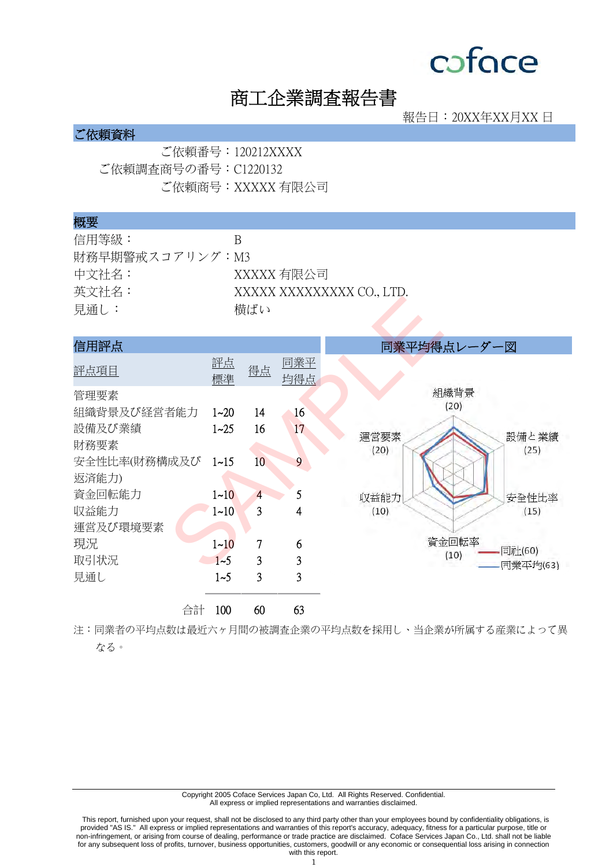## 商工企業調査報告書

報告日:20XX年XX月XX 日

### ご依頼資料

ご依頼番号:120212XXXX ご依頼調査商号の番号:C1220132 ご依頼商号:XXXXX 有限公司

#### 概要

| 信用等級:           | К                         |
|-----------------|---------------------------|
| 財務早期警戒スコアリング:M3 |                           |
| 中文社名:           | XXXXX 有限公司                |
| 英文社名:           | XXXXX XXXXXXXXX CO., LTD. |
| 見通し:            | 横ばい                       |

| 見通し:         |          | 横ばい             |                         |                  |
|--------------|----------|-----------------|-------------------------|------------------|
| 信用評点         |          |                 |                         | 同業平均得点レーダー図      |
| 評点項目         | 評点<br>標準 | 得点              | 同業平<br>均得点              |                  |
| 管理要素         |          |                 |                         | 組織背景             |
| 組織背景及び経営者能力  | $1 - 20$ | 14              | 16                      | (20)             |
| 設備及び業績       | $1 - 25$ | 16              | 17                      | 運営要素<br>設備と業績    |
| 財務要素         |          |                 |                         | (20)<br>(25)     |
| 安全性比率(財務構成及び | $1 - 15$ | 10 <sup>°</sup> | 9                       |                  |
| 返済能力)        |          |                 |                         |                  |
| 資金回転能力       | $1 - 10$ | 4               | 5                       | 収益能力<br>安全性比率    |
| 収益能力         | $1 - 10$ | 3               | 4                       | (10)<br>(15)     |
| 運営及び環境要素     |          |                 |                         |                  |
| 現況           | $1 - 10$ | 7               | 6                       | 資金回転率<br>同社(60)  |
| 取引状況         | $1 - 5$  | 3               | $\overline{\mathbf{3}}$ | (10)<br>同業平均(63) |
| 見通し          | $1 - 5$  | 3               | $\overline{3}$          |                  |
| 合計           | 100      | 60              | 63                      |                  |

注:同業者の平均点数は最近六ヶ月間の被調査企業の平均点数を採用し、当企業が所属する産業によって異 なる。

> Copyright 2005 Coface Services Japan Co, Ltd. All Rights Reserved. Confidential. All express or implied representations and warranties disclaimed.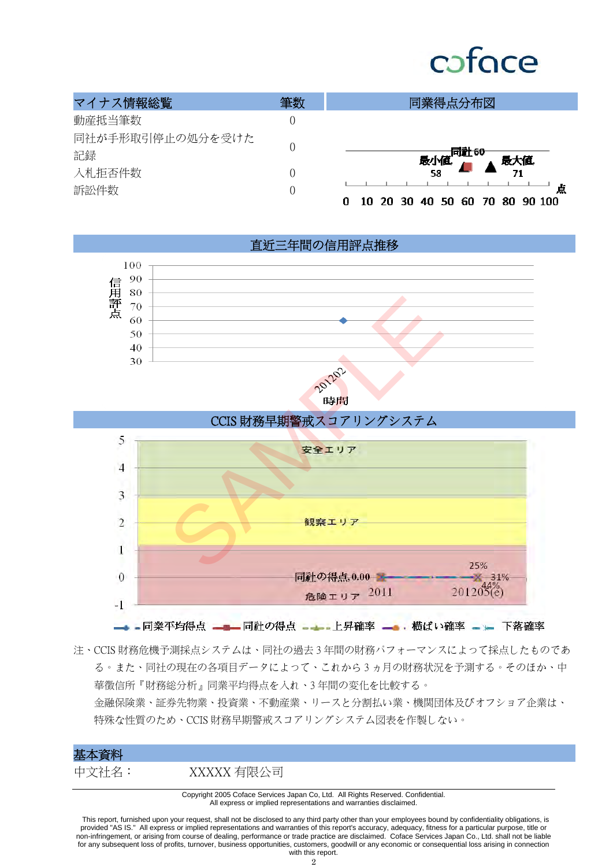# cofoce

| マイナス情報総覧         | 筆数 | 同業得点分布図                                   |
|------------------|----|-------------------------------------------|
| 動産抵当筆数           |    |                                           |
| 同社が手形取引停止の処分を受けた |    |                                           |
| 記録               |    | <b>─────同社60</b><br>最小値. ▲ 最大値.           |
| 入札拒否件数           |    | 58                                        |
| 訴訟件数             |    | 点<br>70 80 90 100<br>10<br>40 50 60<br>30 |

直近三年間の信用評点推移







注、CCIS 財務危機予測採点システムは、同社の過去 3 年間の財務パフォーマンスによって採点したものであ る。また、同社の現在の各項目データによって、これから 3 ヵ月の財務状況を予測する。そのほか、中 華徵信所『財務総分析』同業平均得点を入れ、3 年間の変化を比較する。 金融保険業、証券先物業、投資業、不動産業、リースと分割払い業、機関団体及びオフショア企業は、

特殊な性質のため、CCIS 財務早期警戒スコアリングシステム図表を作製しない。

### 基本資料

中文社名: XXXXX 有限公司

Copyright 2005 Coface Services Japan Co, Ltd. All Rights Reserved. Confidential. All express or implied representations and warranties disclaimed.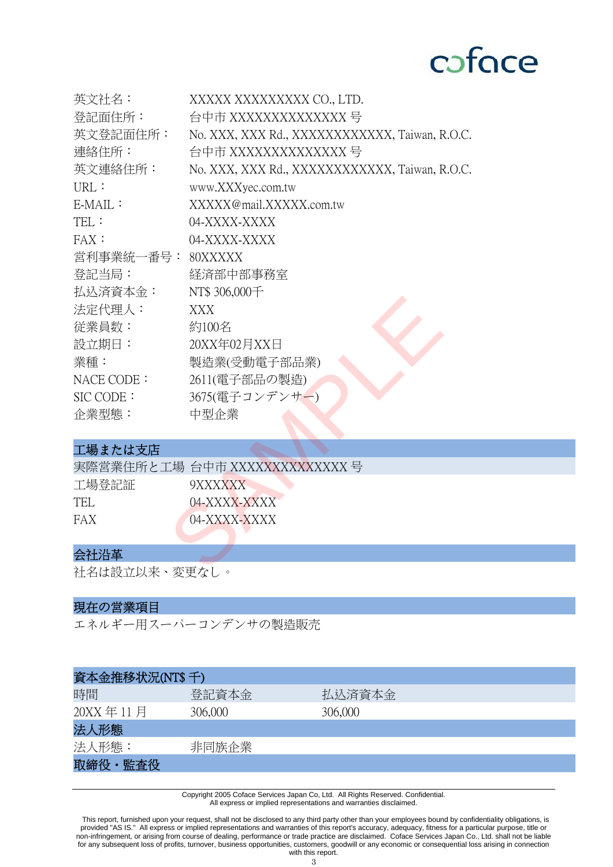

| 英文社名:             | XXXXX XXXXXXXXX CO., LTD.                      |
|-------------------|------------------------------------------------|
| 登記面住所:            | 台中市 XXXXXXXXXXXXXX 号                           |
| 英文登記面住所:          | No. XXX, XXX Rd., XXXXXXXXXXXX, Taiwan, R.O.C. |
| 連絡住所:             | 台中市 XXXXXXXXXXXXXX 号                           |
| 英文連絡住所:           | No. XXX, XXX Rd., XXXXXXXXXXXX, Taiwan, R.O.C. |
| URL:              | www.XXXyec.com.tw                              |
| $E\text{-}MAIL$ : | XXXXX@mail.XXXXX.com.tw                        |
| TEL:              | 04-XXXX-XXXX                                   |
| FAX:              | 04-XXXX-XXXX                                   |
| 営利事業統一番号:         | 80XXXXX                                        |
| 登記当局:             | 経済部中部事務室                                       |
| 払込済資本金:           | NT\$ 306,000千                                  |
| 法定代理人:            | XXX                                            |
| 従業員数:             | 約100名                                          |
| 設立期日:             | 20XX年02月XX日                                    |
| 業種:               | 製造業(受動電子部品業)                                   |
| NACE CODE:        | 2611(電子部品の製造)                                  |
| SIC CODE:         | 3675(電子コンデンサー)                                 |
| 企業型態:             | 中型企業                                           |
|                   |                                                |
| 工場または支店           |                                                |
|                   | 実際営業住所と工場 台中市 XXXXXXXXXXXXXX 号                 |
| 工場登記証             | 9XXXXXX                                        |
| <b>TEL</b>        | 04-XXXX-XXXX                                   |
| <b>FAX</b>        | 04-XXXX-XXXX                                   |
|                   |                                                |
| 会社沿革              |                                                |
| 江々は迅きい立く亦亩んし      |                                                |

### 工場または支店

|       | 実際営業住所と工場 台中市 XXXXXXXXXXXXXX 号 |
|-------|--------------------------------|
| 工場登記証 | 9XXXXXX                        |
| TEL.  | $04-XXXX-XXXX$                 |
| FAX   | 04-XXXX-XXXX                   |
|       |                                |

## 会社沿革

社名は設立以来、変更なし。

### 現在の営業項目

エネルギー用スーパーコンデンサの製造販売

| 資本金推移状況(NT\$ 千) |         |         |
|-----------------|---------|---------|
| 時間              | 登記資本金   | 払込済資本金  |
| 20XX年11月        | 306,000 | 306,000 |
| 法人形態            |         |         |
| 法人形態:           | 非同族企業   |         |
| 取締役・監査役         |         |         |

Copyright 2005 Coface Services Japan Co, Ltd. All Rights Reserved. Confidential. All express or implied representations and warranties disclaimed.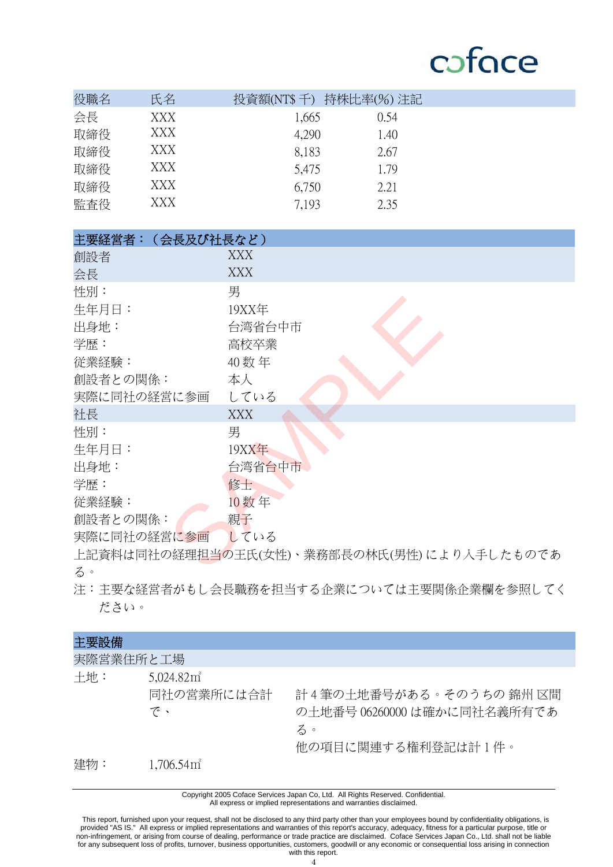| 役職名 | 氏名  | 投資額(NT\$ 千) 持株比率(%) 注記 |      |  |
|-----|-----|------------------------|------|--|
| 会長  | XXX | 1,665                  | 0.54 |  |
| 取締役 | XXX | 4,290                  | 1.40 |  |
| 取締役 | XXX | 8,183                  | 2.67 |  |
| 取締役 | XXX | 5,475                  | 1.79 |  |
| 取締役 | XXX | 6,750                  | 2.21 |  |
| 監査役 | XXX | 7.193                  | 2.35 |  |

| 主要経営者:(会長及び社長など) |                                            |
|------------------|--------------------------------------------|
| 創設者              | XXX                                        |
| 会長               | XXX                                        |
| 性別:              | 男                                          |
| 生年月日:            | 19XX年                                      |
| 出身地:             | 台湾省台中市                                     |
| 学歴:              | 高校卒業                                       |
| 従業経験:            | 40 数年                                      |
| 創設者との関係:         | 本人                                         |
| 実際に同社の経営に参画      | している                                       |
| 社長               | <b>XXX</b>                                 |
| 性別:              | 男                                          |
| 生年月日:            | <b>19XX年</b>                               |
| 出身地:             | 台湾省台中市                                     |
| 学歴:              | 修士                                         |
| 従業経験:            | 10数年                                       |
| 創設者との関係:         | 親子                                         |
| 実際に同社の経営に参画      | している                                       |
|                  | 上記資料は同社の経理担当の王氏(女性)、業務部長の林氏(男性)により入手したものであ |
| $2^{\circ}$      |                                            |

上記資料は同社の経理担当の王氏(女性)、業務部長の林氏(男性)により入手したものであ る。

注: 主要な経営者がもし会長職務を担当する企業については主要関係企業欄を参照してく ださい。

| 主要設備      |                                            |                                                                                    |
|-----------|--------------------------------------------|------------------------------------------------------------------------------------|
| 実際営業住所と工場 |                                            |                                                                                    |
| 十地:       | 5,024.82 <sup>π²</sup><br>同社の営業所には合計<br>で、 | 計4筆の土地番号がある。そのうちの 錦州 区間<br>の土地番号 06260000 は確かに同社名義所有であ<br>る。<br>他の項目に関連する権利登記は計1件。 |
| 建物:       | $1,706.54$ $\mathrm{m}^2$                  |                                                                                    |

Copyright 2005 Coface Services Japan Co, Ltd. All Rights Reserved. Confidential. All express or implied representations and warranties disclaimed.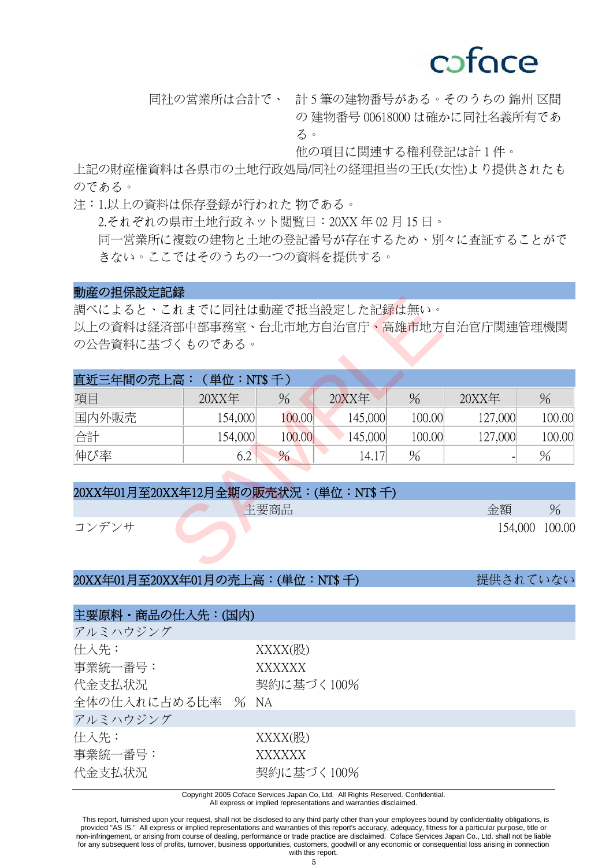## coface

同社の営業所は合計で、 計 5 筆の建物番号がある。そのうちの 錦州 区間 の 建物番号 00618000 は確かに同社名義所有であ る。

他の項目に関連する権利登記は計 1 件。

上記の財産権資料は各県市の土地行政処局/同社の 経理担当の王氏(女性) より提供されたも のである。

注:1.以上の資料は保存登録が行われた
物である。 2.それぞれの県市土地行政ネット閲覧日:20XX 年 02 月 15 日。 同一営業所に複数の建物と土地の登記番号が存在するため、別々に査証することがで きない。ここではそのうちの一つの資料を提供する。

#### 動産の担保設定記録

| の公告資料に基づくものである。 |               |                               |         |               |                                                                                                             |                                                     |
|-----------------|---------------|-------------------------------|---------|---------------|-------------------------------------------------------------------------------------------------------------|-----------------------------------------------------|
|                 |               |                               |         |               |                                                                                                             |                                                     |
|                 |               |                               |         |               |                                                                                                             |                                                     |
| 20XX年           | $\frac{0}{0}$ |                               |         | $\frac{0}{6}$ | 20XX年                                                                                                       | $\frac{0}{0}$                                       |
| 154,000         | 100.00        |                               | 145,000 |               | 127,000                                                                                                     | 100.00                                              |
| 154,000         | 100.00        |                               | 145,000 |               | 127,000                                                                                                     | 100.00                                              |
| 6.2             | $\%$          |                               | 14.17   | $\frac{0}{0}$ |                                                                                                             | $\%$                                                |
|                 |               |                               |         |               |                                                                                                             |                                                     |
|                 |               |                               |         |               |                                                                                                             |                                                     |
|                 |               |                               |         |               | 金額                                                                                                          | $\%$                                                |
|                 |               |                               |         |               |                                                                                                             | 100.00                                              |
|                 |               |                               |         |               |                                                                                                             |                                                     |
|                 |               |                               |         |               |                                                                                                             |                                                     |
|                 |               | 直近三年間の売上高: (単位:NT\$千)<br>主要商品 |         | $20$ $XX$ 年   | 調べによると、これまでに同社は動産で抵当設定した記 <mark>録</mark> は無い。<br>100.00<br>100.00<br>20XX年01月至20XX年12月全期の販売状況: (単位: NT\$ 千) | 以上の資料は経済部中部事務室、台北市地方自治官庁、高雄市地方自治官庁関連管理機関<br>154,000 |

| 20XX年01月至20XX年12月全期の販売状況:(単位:NT\$ 千) |  |                |  |  |  |
|--------------------------------------|--|----------------|--|--|--|
|                                      |  | 主要商品<br>金額     |  |  |  |
| コンデンサ                                |  | 154,000 100.00 |  |  |  |

#### 20XX年01月至20XX年01月の売上高:(単位:NT\$ 千) またはない 提供されていない

| 主要原料・商品の仕入先:(国内)                               |                                           |  |  |  |  |
|------------------------------------------------|-------------------------------------------|--|--|--|--|
| アルミハウジング                                       |                                           |  |  |  |  |
| 仕入先:<br>事業統一番号:<br>代金支払状況<br>全体の仕入れに占める比率 % NA | $XXXX$ (股)<br><b>XXXXXX</b><br>契約に基づく100% |  |  |  |  |
| アルミハウジング                                       |                                           |  |  |  |  |
| 仕入先:<br>事業統一番号:<br>代金支払状況                      | XXXX(股)<br>XXXXXX<br>契約に基づく100%           |  |  |  |  |

Copyright 2005 Coface Services Japan Co, Ltd. All Rights Reserved. Confidential.

All express or implied representations and warranties disclaimed.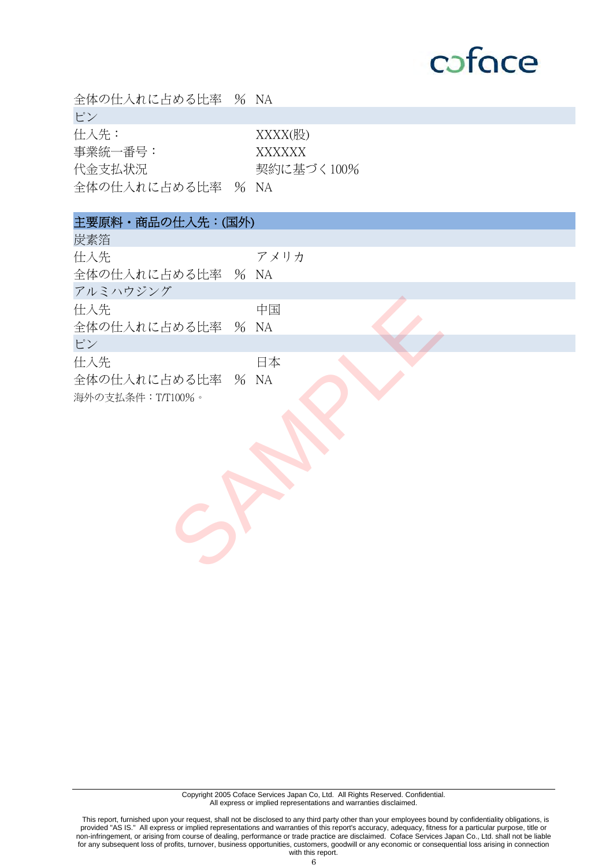| 全体の仕入れに占める比率 % NA                              |                                        |
|------------------------------------------------|----------------------------------------|
| ピン                                             |                                        |
| 仕入先:<br>事業統一番号:<br>代金支払状況<br>全体の仕入れに占める比率 % NA | XXXX(股)<br><b>XXXXXX</b><br>契約に基づく100% |
|                                                |                                        |
| 主要原料·商品の仕入先:(国外)                               |                                        |
| 炭素箔                                            |                                        |
| 仕入先<br>全体の仕入れに占める比率 % NA<br>アルミハウジング           | アメリカ                                   |
| 仕入先<br>全体の仕入れに占める比率 % NA                       | 中国                                     |
| ピン                                             |                                        |
| 仕入先<br>全体の仕入れに占める比率 % NA<br>海外の支払条件: T/T100%。  | 日本                                     |
|                                                |                                        |

Copyright 2005 Coface Services Japan Co, Ltd. All Rights Reserved. Confidential. All express or implied representations and warranties disclaimed.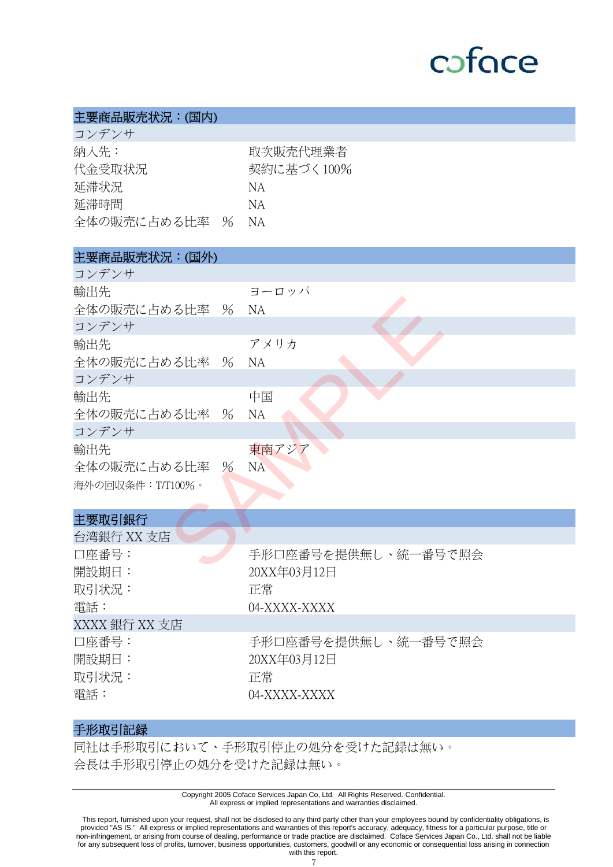

### 主要商品販売状況:(国内)

| コンデンサ         |            |
|---------------|------------|
| 納入先:          | 取次販売代理業者   |
| 代金受取状況        | 契約に基づく100% |
| 延滞状況          | NА         |
| 延滞時間          | N A        |
| 全体の販売に占める比率 % | NA.        |
|               |            |

## 主要商品販売状況:(国外)

| コンデンサ             |                                   |
|-------------------|-----------------------------------|
| 輸出先               | ヨーロッパ                             |
| 全体の販売に占める比率 % NA  |                                   |
| コンデンサ             |                                   |
| 輸出先               | アメリカ                              |
| 全体の販売に占める比率 % NA  |                                   |
| コンデンサ             |                                   |
| 輸出先               | 中国                                |
| 全体の販売に占める比率 %     | <b>NA</b>                         |
| コンデンサ             |                                   |
| 輸出先               | 東南アジア                             |
| 全体の販売に占める比率 96    | <b>NA</b>                         |
| 海外の回収条件: T/T100%。 |                                   |
|                   |                                   |
| 主要取引銀行            |                                   |
| 台湾銀行 XX 支店        |                                   |
| 口座番号:             | 手形口座番号を提供無し、統一番号で照会               |
| 29505011 キリコード    | $20VV \oplus 02$ $\Box 12$ $\Box$ |

### 主要取引銀行

| 工女収刊取刊        |                     |
|---------------|---------------------|
| 台湾銀行 XX 支店    |                     |
| 口座番号:         | 手形口座番号を提供無し、統一番号で照会 |
| 開設期日:         | 20XX年03月12日         |
| 取引状況:         | 正常                  |
| 電話:           | 04-XXXX-XXXX        |
| XXXX 銀行 XX 支店 |                     |
| 口座番号:         | 手形口座番号を提供無し、統一番号で照会 |
| 開設期日:         | 20XX年03月12日         |
| 取引状況:         | 正常                  |
| 電話:           | 04-XXXX-XXXX        |
|               |                     |

### 手形取引記録

同社は手形取引において、手形取引停止の処分を受けた記録は無い。 会長は手形取引停止の処分を受けた記録は無い。

> Copyright 2005 Coface Services Japan Co, Ltd. All Rights Reserved. Confidential. All express or implied representations and warranties disclaimed.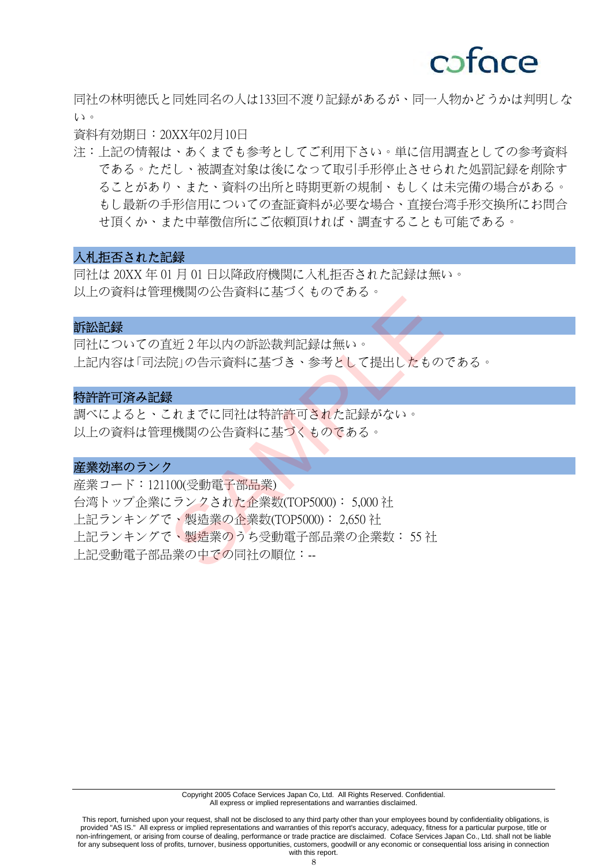

同社の林明徳氏と同姓同名の人は 133 回不渡り記録があるが、同一人物かどうかは判明しな い。

資料有効期日: 20XX年02月10日

注:上記の情報は、あくまでも参考としてご利用下さい。単に信用調査としての参考資料 である。ただし、被調査対象は後になって取引手形停止させられた処罰記録を削除す ることがあり、また、資料の出所と時期更新の規制、もしくは未完備の場合がある。 もし最新の手形信用についての査証資料が必要な場合、直接台湾手形交換所にお問合 せ頂くか、また中華徴信所にご依頼頂ければ、調査することも可能である。

### 入札拒否された記録

同社は 20XX 年 01 月 01 日以降政府機関に入札拒否された記録は無い。 以上の資料は管理機関の公告資料に基づくものである。

#### 訴訟記録

同社についての直近 2 年以内の訴訟裁判記録は無い。 上記内容は「司法院」の告示資料に基づき、参考として提出したものである。

#### 特許許可済み記録

調べによると、これまでに同社は特許許可された記録がない。 以上の資料は管理機関の公告資料に基づくものである。

#### 産業効率のランク

産業コード:121100(受動電子部品業) 台湾トップ企業にランクされた企業数(TOP5000): 5,000 社 上記ランキングで、製造業の企業数(TOP5000): 2,650 社 上記ランキングで、製造業のうち受動電子部品業の企業数: 55 社 ト記受動電子部品業の中での同社の順位:--エムスクロス料に生じ、ものです。<br>「近2年以内の訴訟裁判記録は無い。<br>院」の告示資料に基づき、参考として提出したもの<br>最<br>これまでに同社は特許許可された記録がない。<br>最後関の公告資料に基づくものである。<br>理機関の公告資料に基づくものである。<br>り<br>こランクされた企業数(TOP5000):5,000 社で、製造業の企業数(TOP5000):5,000 社で、製造業の企業数(TOP5000):2,650 社<br>で、製造業の企業数(TOP5000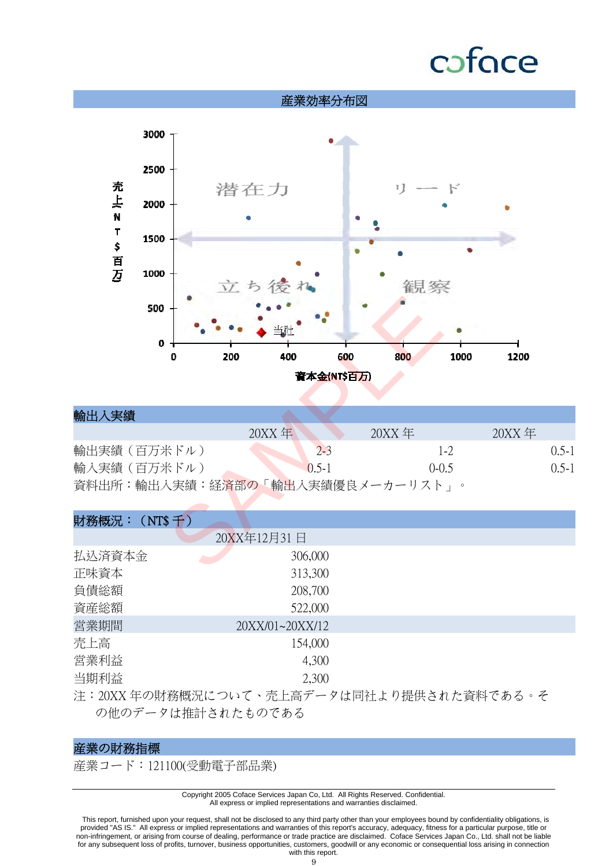# coface



| 輸出入実績           |          |              |                   |               |         |
|-----------------|----------|--------------|-------------------|---------------|---------|
|                 | $20XX$ 年 |              | $20XX \tcong$     | $20XX \tcong$ |         |
| 輸出実績(百万米ドル)     |          | $2 - 3$      | $1 - 2$           |               | $0.5-1$ |
| 輸入実績(百万米ドル)     |          | $(0, 5, -1)$ | $(0-0.5)$         |               | $0.5-1$ |
| 資料出所:輸出入実績:経済部の |          |              | 「輸出入実績優良メーカーリスト」。 |               |         |

| 財務概況: (NT\$千) |                 |  |
|---------------|-----------------|--|
|               | 20XX年12月31日     |  |
| 払込済資本金        | 306,000         |  |
| 正味資本          | 313,300         |  |
| 負債総額          | 208,700         |  |
| 資産総額          | 522,000         |  |
| 営業期間          | 20XX/01~20XX/12 |  |
| 売上高           | 154,000         |  |
| 営業利益          | 4,300           |  |
| 当期利益          | 2,300           |  |
|               |                 |  |

注:20XX 年の財務概況について、売上高データは同社より提供された資料である。そ の他のデータは推計されたものである

### 産業の財務指標

産業コード:121100(受動電子部品業)

Copyright 2005 Coface Services Japan Co, Ltd. All Rights Reserved. Confidential. All express or implied representations and warranties disclaimed.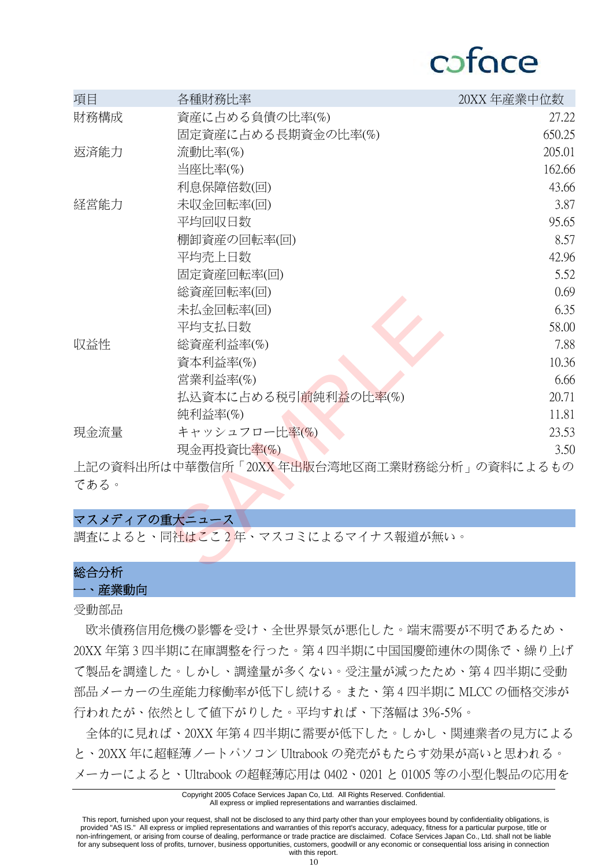## cafoce

| 項目            | 各種財務比率                                     | 20XX年産業中位数 |
|---------------|--------------------------------------------|------------|
| 財務構成          | 資産に占める負債の比率(%)                             | 27.22      |
|               | 固定資産に占める長期資金の比率(%)                         | 650.25     |
| 返済能力          | 流動比率(%)                                    | 205.01     |
|               | 当座比率(%)                                    | 162.66     |
|               | 利息保障倍数(回)                                  | 43.66      |
| 経営能力          | 未収金回転率(回)                                  | 3.87       |
|               | 平均回収日数                                     | 95.65      |
|               | 棚卸資産の回転率(回)                                | 8.57       |
|               | 平均壳上日数                                     | 42.96      |
|               | 固定資産回転率(回)                                 | 5.52       |
|               | 総資産回転率(回)                                  | 0.69       |
|               | 未払金回転率(回)                                  | 6.35       |
|               | 平均支払日数                                     | 58.00      |
| 収益性           | 総資産利益率(%)                                  | 7.88       |
|               | 資本利益率(%)                                   | 10.36      |
|               | 営業利益率(%)                                   | 6.66       |
|               | 払込資本に占める税引 <mark>前</mark> 純利益の比率(%)        | 20.71      |
|               | 純利益率(%)                                    | 11.81      |
| 現金流量          | キャッシュフロー比 <mark>率(%)</mark>                | 23.53      |
|               | 現金再投資比率(%)                                 | 3.50       |
|               | 上記の資料出所は中華徴信所「20XX年出版台湾地区商工業財務総分析」の資料によるもの |            |
| である。          |                                            |            |
| マスメディアの重大ニュース |                                            |            |
|               | 調査によると、同社はここ2年、マスコミによるマイナス報道が無い。           |            |
| 经公公长          |                                            |            |

### マスメディアの重大ニュース

## 総合分析

一、産業動向

受動部品

 欧米債務信用危機の影響を受け、全世界景気が悪化した。端末需要が不明であるため、 20XX 年第 3 四半期に在庫調整を行った。第 4 四半期に中国国慶節連休の関係で、繰り上げ て製品を調達した。しかし、調達量が多くない。受注量が減ったため、第 4 四半期に受動 部品メーカーの生産能力稼働率が低下し続ける。また、第 4 四半期に MLCC の価格交渉が 行われたが、依然として値下がりした。平均すれば、下落幅は 3%-5%。

 全体的に見れば、20XX 年第 4 四半期に需要が低下した。しかし、関連業者の見方による と、20XX 年に超軽薄ノートパソコン Ultrabook の発売がもたらす効果が高いと思われる。 メーカーによると、Ultrabook の超軽薄応用は 0402、0201 と 01005 等の小型化製品の応用を

#### Copyright 2005 Coface Services Japan Co, Ltd. All Rights Reserved. Confidential. All express or implied representations and warranties disclaimed.

 This report, furnished upon your request, shall not be disclosed to any third party other than your employees bound by confidentiality obligations, is provided "AS IS." All express or implied representations and warranties of this report's accuracy, adequacy, fitness for a particular purpose, title or non-infringement, or arising from course of dealing, performance or trade practice are disclaimed. Coface Services Japan Co., Ltd. shall not be liable for any subsequent loss of profits, turnover, business opportunities, customers, goodwill or any economic or consequential loss arising in connection with this report.

10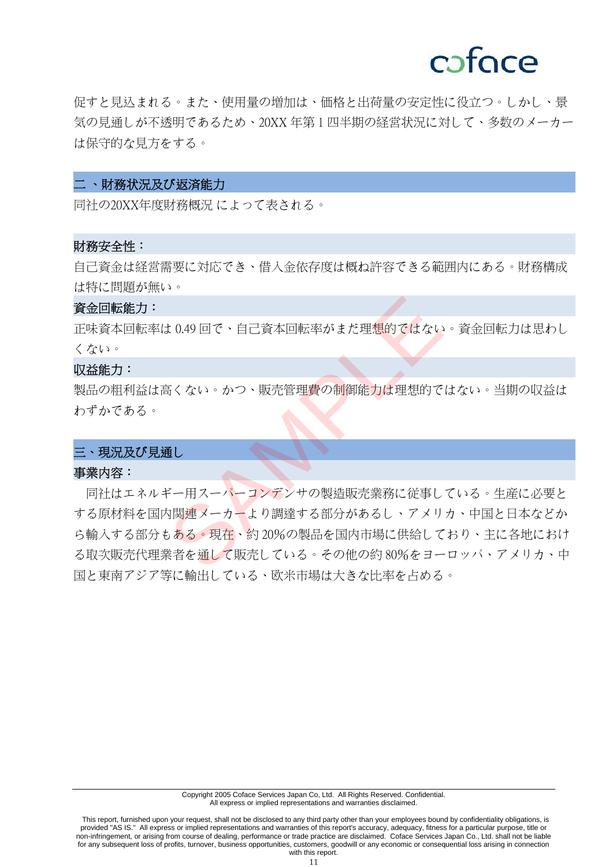## cafoce

促すと見込まれる。また、使用量の増加は、価格と出荷量の安定性に役立つ。しかし、景 気の見通しが不透明であるため、20XX 年第 1 四半期の経営状況に対して、多数のメーカー は保守的な見方をする。

#### 二 、財務状況及び返済能力

同社の 20XX 年度財務概況 によって表される。

#### 財務安全性:

自己資金は経営需要に対応でき、借入金依存度は概ね許容できる範囲内にある。財務構成 は特に問題が無い。

#### 資金回転能力:

正味資本回転率は 0.49 回で、自己資本回転率がまだ理想的ではない。資金回転力は思わし くない。

#### 収益能力:

製品の粗利益は高くない。かつ、販売管理費の制御能力は理想的ではない。当期の収益は わずかである。

### 三、現況及び見通し

#### 事業内容:

 同社はエネルギー用スーパーコンデンサの製造販売業務に従事している。生産に必要と する原材料を国内関連メーカーより調達する部分があるし、アメリカ、中国と日本などか ら輸入する部分もある。現在、約 20%の製品を国内市場に供給しており、主に各地におけ る取次販売代理業者を通して販売している。その他の約 80%をヨーロッパ、アメリカ、中 国と東南アジア等に輸出している、欧米市場は大きな比率を占める。 ま 0.49 回で、自己資本回転率がまだ理<mark>想的ではないまくない。かつ、販売管理費の制御能力は理想的ではないようない。かつ、販売管理費の制御能力は理想的ではないました。<br>インスティー・コンデンサの製造販売業務に従事し<br>ドー用スーパーコンデンサの製造販売業務に従事し<br>もある。現在、約 20%の製品を国内市場に供給して<br>業者を通して販売している。その他の約 80%をヨー</mark>

 This report, furnished upon your request, shall not be disclosed to any third party other than your employees bound by confidentiality obligations, is provided "AS IS." All express or implied representations and warranties of this report's accuracy, adequacy, fitness for a particular purpose, title or non-infringement, or arising from course of dealing, performance or trade practice are disclaimed. Coface Services Japan Co., Ltd. shall not be liable for any subsequent loss of profits, turnover, business opportunities, customers, goodwill or any economic or consequential loss arising in connection with this report.

11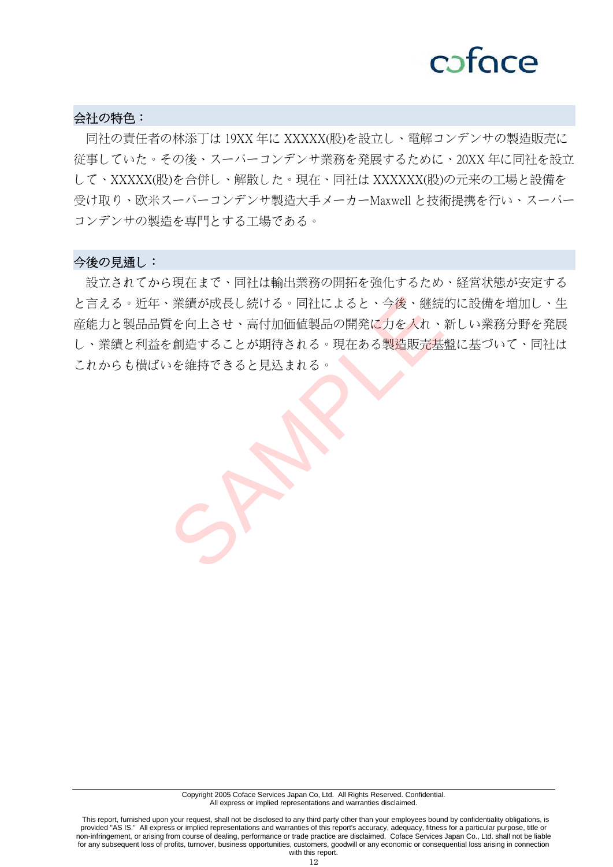## cofoce

### 会社の特色:

 同社の責任者の林添丁は 19XX 年に XXXXX(股)を設立し、電解コンデンサの製造販売に 従事していた。その後、スーパーコンデンサ業務を発展するために、20XX 年に同社を設立 して、XXXXX(股)を合併し、解散した。現在、同社は XXXXXX(股)の元来の工場と設備を 受け取り、欧米スーパーコンデンサ製造大手メーカーMaxwell と技術提携を行い、スーパー コンデンサの製造を専門とする工場である。

#### 今後の見通し:

 設立されてから現在まで、同社は輸出業務の開拓を強化するため、経営状態が安定する と言える。近年、業績が成長し続ける。同社によると、今後、継続的に設備を増加し、生 産能力と製品品質を向上させ、高付加価値製品の開発に力を入れ、新しい業務分野を発展 し、業績と利益を創造することが期待される。現在ある製造販売基盤に基づいて、同社は これからも横ばいを維持できると見込まれる。 、業績が成長し続ける。同社によると、今後、継続<br>賃を向上させ、高付加価値製品の開発に力を入れ、<br>を創造することが期待される。現在ある製造販売基<br>いを維持できると見込まれる。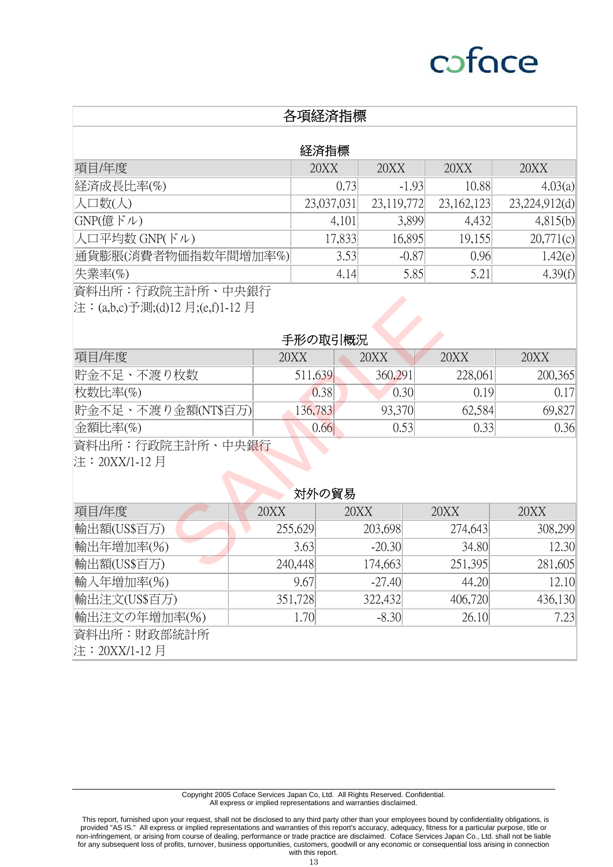|                                 |      | 各項経済指標     |        |            |      |            |               |
|---------------------------------|------|------------|--------|------------|------|------------|---------------|
|                                 |      | 経済指標       |        |            |      |            |               |
| 項目/年度                           |      | 20XX       |        | 20XX       | 20XX |            | 20XX          |
| 経済成長比率(%)                       |      |            | 0.73   | $-1.93$    |      | 10.88      | 4.03(a)       |
| 人口数(人)                          |      | 23,037,031 |        | 23,119,772 |      | 23,162,123 | 23,224,912(d) |
| GNP(億ドル)                        |      |            | 4,101  | 3,899      |      | 4,432      | 4,815(b)      |
| 人口平均数 GNP(ドル)                   |      |            | 17,833 | 16,895     |      | 19,155     | 20,771(c)     |
| 通貨膨脹(消費者物価指数年間増加率%)             |      |            | 3.53   | $-0.87$    |      | 0.96       | 1.42(e)       |
| 失業率(%)                          |      |            | 4.14   | 5.85       |      | 5.21       | 4.39(f)       |
| 資料出所:行政院主計所、中央銀行                |      |            |        |            |      |            |               |
| 注:(a,b,c)予測;(d)12 月;(e,f)1-12 月 |      |            |        |            |      |            |               |
|                                 |      |            |        |            |      |            |               |
|                                 |      | 手形の取引概況    |        |            |      |            |               |
| 項目/年度                           |      | 20XX       |        | 20XX       | 20XX |            | 20XX          |
| 貯金不足、不渡り枚数                      |      | 511,639    |        | 360,291    |      | 228,061    | 200,365       |
| 枚数比率(%)                         |      | 0.38       |        | 0.30       |      | 0.19       | 0.17          |
| 貯金不足、不渡り金額(NT\$百万)              |      | 136,783    |        | 93,370     |      | 62,584     | 69,827        |
| $\triangle$ 額比率(%)              |      | 0.66       |        | 0.53       |      | 0.33       | 0.36          |
| 資料出所:行政院主計所、中央銀行                |      |            |        |            |      |            |               |
| 注:20XX/1-12 月                   |      |            |        |            |      |            |               |
|                                 |      |            |        |            |      |            |               |
|                                 |      | 対外の貿易      |        |            |      |            |               |
| 項目/年度                           | 20XX |            | 20XX   |            | 20XX |            | 20XX          |
| 輸出額(US\$百万)                     |      | 255,629    |        | 203,698    |      | 274,643    | 308,299       |
| 輸出年増加率(%)                       |      | 3.63       |        | $-20.30$   |      | 34.80      | 12.30         |
| 輸出額(US\$百万)                     |      | 240,448    |        | 174,663    |      | 251,395    | 281,605       |

### 対外の貿易

| 項目/年度         | 20XX    | 20XX     | 20XX    | 20XX    |
|---------------|---------|----------|---------|---------|
| 輸出額(US\$百万)   | 255,629 | 203,698  | 274,643 | 308,299 |
| 輸出年増加率(%)     | 3.63    | $-20.30$ | 34.80   | 12.30   |
| 輸出額(US\$百万)   | 240,448 | 174,663  | 251,395 | 281,605 |
| 輸入年増加率(%)     | 9.67    | $-27.40$ | 44.20   | 12.10   |
| 輸出注文(US\$百万)  | 351,728 | 322,432  | 406,720 | 436,130 |
| 輸出注文の年増加率(%)  | 1.70    | $-8.30$  | 26.10   | 7.23    |
| 資料出所:財政部統計所   |         |          |         |         |
| 注:20XX/1-12 月 |         |          |         |         |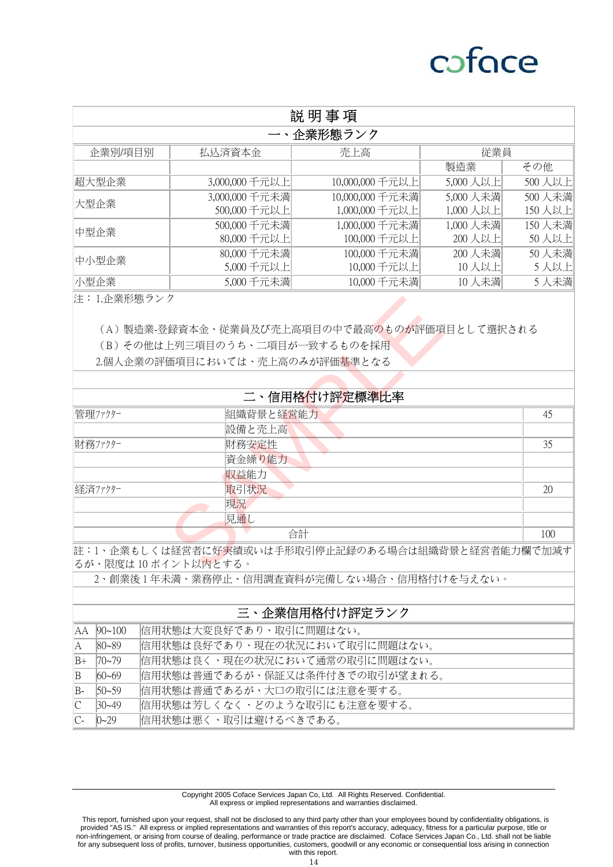## cofoce

| 説明事項    |                |                 |           |        |  |  |  |
|---------|----------------|-----------------|-----------|--------|--|--|--|
|         | 企業形態ランク        |                 |           |        |  |  |  |
| 企業別/項目別 | 払込済資本金         | 売上高             | 従業員       |        |  |  |  |
|         |                |                 | 製造業       | その他    |  |  |  |
| 超大型企業   | 3,000,000 千元以上 | 10,000,000 千元以上 | 5,000 人以上 | 500人以上 |  |  |  |
| 大型企業    | 3,000,000 千元未満 | 10,000,000 千元未満 | 5,000 人未満 | 500人未満 |  |  |  |
|         | 500,000 千元以上   | 1,000,000 千元以上  | 1,000 人以上 | 150人以上 |  |  |  |
| 中型企業    | 500,000 千元未満   | 1,000,000 千元未満  | 1,000 人未満 | 150人未満 |  |  |  |
|         | 80,000 千元以上    | 100,000 千元以上    | 200人以上    | 50人以上  |  |  |  |
| 中小型企業   | 80,000 千元未満    | 100,000 千元未満    | 200人未満    | 50人未満  |  |  |  |
|         | 5,000千元以上      | 10,000 千元以上     | 10人以上     | 5人以上   |  |  |  |
| 小型企業    | 5,000 千元未満     | 10,000 千元未満     | 10人未満     | 5人未満   |  |  |  |

注:1.企業形態ランク

| 汪:1.企業形態フンク          |                                                                                                                                 |     |
|----------------------|---------------------------------------------------------------------------------------------------------------------------------|-----|
|                      | (A) 製造業-登録資本金、従業員及び売上高項目の中で最高のものが評価項目として選択される<br>(B)その他は上列三項目のうち、二項目が一致するものを採用<br>2.個人企業の評価項目においては、売上高のみが評価 <mark>基</mark> 準となる |     |
|                      |                                                                                                                                 |     |
|                      | 二、信用格付け評定標準比率                                                                                                                   |     |
| 管理ファクター              | 組織背景と経営能力                                                                                                                       | 45  |
|                      | 設備と売上高                                                                                                                          |     |
| 財務ファクター              | 財務安定性                                                                                                                           | 35  |
|                      | 資金繰り能力                                                                                                                          |     |
|                      | 収益能力                                                                                                                            |     |
| 経済ファクター              | 取引状況                                                                                                                            | 20  |
|                      | 現況                                                                                                                              |     |
|                      | 見通し                                                                                                                             |     |
|                      | 合計                                                                                                                              | 100 |
| るが、限度は 10 ポイント以内とする。 | 註:1、企業もしくは経営者に好実績或いは手形取引停止記録のある場合は組織背景と経営者能力欄で加減す                                                                               |     |

2、創業後 1 年未満、業務停止、信用調査資料が完備しない場合、信用格付けを与えない。

#### 三、企業信用格付け評定ランク

|                | $AA$ 90~100 | 信用状態は大変良好であり、取引に問題はない。         |
|----------------|-------------|--------------------------------|
| IA.            | $ 80 - 89$  | 信用状態は良好であり、現在の状況において取引に問題はない。  |
| $B+$           | $70 - 79$   | 信用状態は良く、現在の状況において通常の取引に問題はない。  |
| $\mathbb B$    | $60 - 69$   | 信用状態は普通であるが、保証又は条件付きでの取引が望まれる。 |
| B-             | $50 - 59$   | 信用状態は普通であるが、大口の取引には注意を要する。     |
| $\mathbb{C}$   | $30 - 49$   | 信用状態は芳しくなく、どのような取引にも注意を要する。    |
| $\mathbb{C}$ - | $0 - 29$    | 信用状態は悪く、取引は避けるべきである。           |

Copyright 2005 Coface Services Japan Co, Ltd. All Rights Reserved. Confidential. All express or implied representations and warranties disclaimed.